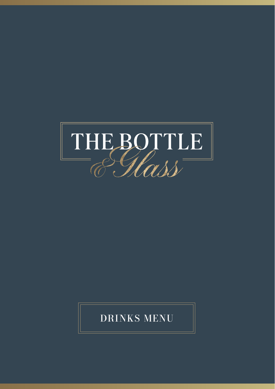

#### DRINKS MENU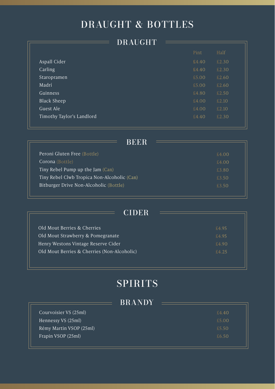# DRAUGHT & BOTTLES

|                           | DRAUGHT |       |       |
|---------------------------|---------|-------|-------|
|                           |         | Pint  | Half  |
| Aspall Cider              |         | £4.40 | £2.30 |
| Carling                   |         | £4.40 | £2.30 |
| Staropramen               |         | £5.00 | £2.60 |
| Madrí                     |         | £5.00 | £2.60 |
| Guinness                  |         | £4.80 | £2.50 |
| Black Sheep               |         | £4.00 | £2.10 |
| Guest Ale                 |         | £4.00 | £2.10 |
| Timothy Taylor's Landlord |         | £4.40 | £2.30 |

| REER                                        |       |
|---------------------------------------------|-------|
| Peroni Gluten Free (Bottle)                 | £4.00 |
| Corona (Bottle)                             | £4.00 |
| Tiny Rebel Pump up the Jam (Can)            | £3.80 |
| Tiny Rebel Clwb Tropica Non-Alcoholic (Can) | £3.50 |
| Bitburger Drive Non-Alcoholic (Bottle)      | £3.50 |
|                                             |       |

| CIDER                                       |       |
|---------------------------------------------|-------|
| Old Mout Berries & Cherries                 | £4.95 |
| Old Mout Strawberry & Pomegranate           | £4.95 |
| Henry Westons Vintage Reserve Cider         | £4.90 |
| Old Mout Berries & Cherries (Non-Alcoholic) | £4.25 |

#### SPIRITS

#### BRANDY

| Courvoisier VS (25ml)   | £440  |
|-------------------------|-------|
| Hennessy VS (25ml)      | £5.00 |
| Rémy Martin VSOP (25ml) | £5.50 |
| Frapin VSOP (25ml)      | £6.50 |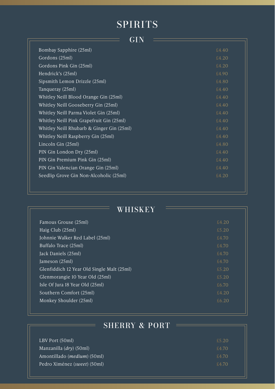#### SPIRITS

| Bombay Sapphire (25ml)                    | £4.40 |
|-------------------------------------------|-------|
| Gordons (25ml)                            | £4.20 |
| Gordons Pink Gin (25ml)                   | £4.20 |
| Hendrick's (25ml)                         | £4.90 |
| Sipsmith Lemon Drizzle (25ml)             | £4.80 |
| Tanqueray (25ml)                          | £4.40 |
| Whitley Neill Blood Orange Gin (25ml)     | £4.40 |
| Whitley Neill Gooseberry Gin (25ml)       | £4.40 |
| Whitley Neill Parma Violet Gin (25ml)     | £4.40 |
| Whitley Neill Pink Grapefruit Gin (25ml)  | £4.40 |
| Whitley Neill Rhubarb & Ginger Gin (25ml) | £4.40 |
| Whitley Neill Raspberry Gin (25ml)        | £4.40 |
| Lincoln Gin (25ml)                        | £4.80 |
| PIN Gin London Dry (25ml)                 | £4.40 |
| PIN Gin Premium Pink Gin (25ml)           | £4.40 |
| PIN Gin Valencian Orange Gin (25ml)       | £4.40 |
| Seedlip Grove Gin Non-Alcoholic (25ml)    | £4.20 |
|                                           |       |

| WHISKEY                                    |       |
|--------------------------------------------|-------|
| Famous Grouse (25ml)                       | £4.20 |
| Haig Club (25ml)                           | £5.20 |
| Johnnie Walker Red Label (25ml)            | £4.70 |
| Buffalo Trace (25ml)                       | £4.70 |
| Jack Daniels (25ml)                        | £4.70 |
| Jameson (25ml)                             | £4.70 |
| Glenfiddich 12 Year Old Single Malt (25ml) | £5.20 |
| Glenmorangie 10 Year Old (25ml)            | £5.20 |
| Isle Of Jura 18 Year Old (25ml)            | £6.70 |
| Southern Comfort (25ml)                    | £4.20 |
| Monkey Shoulder (25ml)                     | £6.20 |

| SHERRY & PORT                        |       |
|--------------------------------------|-------|
| LBV Port (50ml)                      | £5.20 |
| Manzanilla $(dry)$ (50ml)            | £4.70 |
| Amontillado ( <i>medium</i> ) (50ml) | £4.70 |
| Pedro Ximénez (sweet) (50ml)         | 6470  |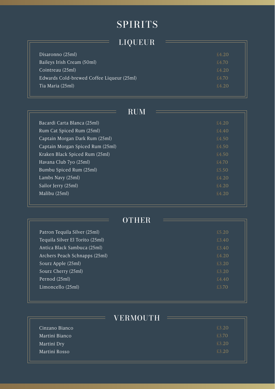### SPIRITS

| LIQUEUR                                   |       |
|-------------------------------------------|-------|
| Disaronno (25ml)                          | £420  |
| Baileys Irish Cream (50ml)                | £4.70 |
| Cointreau (25ml)                          | £4.20 |
| Edwards Cold-brewed Coffee Liqueur (25ml) | £4.70 |
| Tia Maria (25ml)                          | \$420 |

| Bacardi Carta Blanca (25ml)      | £4.20 |
|----------------------------------|-------|
| Rum Cat Spiced Rum (25ml)        | £4.40 |
| Captain Morgan Dark Rum (25ml)   | £4.50 |
| Captain Morgan Spiced Rum (25ml) | £4.50 |
| Kraken Black Spiced Rum (25ml)   | £4.50 |
| Havana Club 7yo (25ml)           | £4.70 |
| Bumbu Spiced Rum (25ml)          | £5.50 |
| Lambs Navy (25ml)                | £4.20 |
| Sailor Jerry (25ml)              | £4.20 |
| Malibu (25ml)                    | £4.20 |

| Patron Tequila Silver (25ml)    | £5.20 |
|---------------------------------|-------|
| Tequila Silver El Torito (25ml) | £3.40 |
| Antica Black Sambuca (25ml)     | £3.40 |
| Archers Peach Schnapps (25ml)   | £4.20 |
| Sourz Apple (25ml)              | £3.20 |
| Sourz Cherry (25ml)             | £3.20 |
| Pernod (25ml)                   | £4.40 |
| Limoncello (25ml)               | £3.70 |

|                | VERMOUTH |
|----------------|----------|
| Cinzano Bianco | £3.20    |
| Martini Bianco | £3.70    |
| Martini Dry    | £3.20    |
| Martini Rosso  | £3.20    |
|                |          |

IL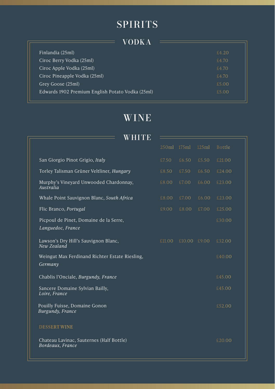## SPIRITS

| Finlandia (25ml)                                 | £4.20 |
|--------------------------------------------------|-------|
| Ciroc Berry Vodka (25ml)                         | £4.70 |
| Ciroc Apple Vodka (25ml)                         | £4.70 |
| Ciroc Pineapple Vodka (25ml)                     | £4.70 |
| Grey Goose (25ml)                                | £5.00 |
| Edwards 1902 Premium English Potato Vodka (25ml) | £5.00 |
|                                                  |       |

# WINE

| ŦЕ                                                           |        |              |       |               |
|--------------------------------------------------------------|--------|--------------|-------|---------------|
|                                                              | 250ml  | 175ml        | 125ml | <b>Bottle</b> |
| San Giorgio Pinot Grigio, Italy                              | £7.50  | £6.50        | £5.50 | £21.00        |
| Torley Talisman Grüner Veltliner, Hungary                    | £8.50  | £7.50        | £6.50 | £24.00        |
| Murphy's Vineyard Unwooded Chardonnay,<br>Australia          | £8.00  | £7.00        | £6.00 | £23.00        |
| Whale Point Sauvignon Blanc, South Africa                    | £8.00  | £7.00        | £6.00 | £23.00        |
| Flic Branco, Portugal                                        | £9.00  | £8.00        | £7.00 | £25.00        |
| Picpoul de Pinet, Domaine de la Serre,<br>Languedoc, France  |        |              |       | £30.00        |
| Lawson's Dry Hill's Sauvignon Blanc,<br>New Zealand          | £11.00 | £10.00 £9.00 |       | £32.00        |
| Weingut Max Ferdinand Richter Estate Riesling,<br>Germany    |        |              |       | £40.00        |
| Chablis l'Onciale, Burgundy, France                          |        |              |       | £45.00        |
| Sancere Domaine Sylvian Bailly,<br>Loire, France             |        |              |       | £45.00        |
| Pouilly Fuisse, Domaine Gonon<br>Burgundy, France            |        |              |       | £52.00        |
| <b>DESSERT WINE</b>                                          |        |              |       |               |
| Chateau Lavinac, Sauternes (Half Bottle)<br>Bordeaux, France |        |              |       | £20.00        |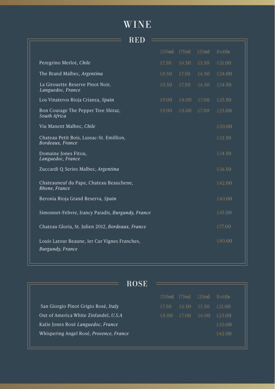## WINE

| RED                                                               |       |       |       |               |
|-------------------------------------------------------------------|-------|-------|-------|---------------|
|                                                                   | 250ml | 175ml | 125ml | <b>Bottle</b> |
| Peregrino Merlot, Chile                                           | £7.50 | £6.50 | £5.50 | £21.00        |
| The Brand Malbec, Argentina                                       | £8.50 | £7.50 | £6.50 | £24.00        |
| La Girouette Reserve Pinot Noir,<br>Languedoc, France             | £8.50 | £7.50 | £6.50 | £24.50        |
| Los Vinateros Rioja Crianza, Spain                                | £9.00 | £8.00 | £7.00 | £25.50        |
| Bon Courage The Pepper Tree Shiraz,<br>South Africa               | £9.00 | £8.00 | £7.00 | £25.00        |
| Viu Manent Malbec, Chile                                          |       |       |       | £30.00        |
| Chateau Petit Bois, Lussac-St. Emillion,<br>Bordeaux, France      |       |       |       | £32.50        |
| Domaine Jones Fitou,<br>Languedoc, France                         |       |       |       | £34.50        |
| Zuccardi Q Series Malbec, Argentina                               |       |       |       | £36.50        |
| Chateauneuf du Pape, Chateau Beauchene,<br>Rhone, France          |       |       |       | £42.00        |
| Beronia Rioja Grand Reserva, Spain                                |       |       |       | £40.00        |
| Simonnet-Febvre, Irancy Paradis, Burgundy, France                 |       |       |       | £45.00        |
| Chateau Gloria, St. Julien 2012, Bordeaux, France                 |       |       |       | £77.00        |
| Louis Latour Beaune, 1er Cur Vignes Franches,<br>Burgundy, France |       |       |       | £80.00        |

| ROSE                                    |       |       |       |               |
|-----------------------------------------|-------|-------|-------|---------------|
|                                         | 250ml | 175ml | 125ml | <b>Bottle</b> |
| San Giorgio Pinot Grigio Rosé, Italy    | £7.50 | £6.50 | £5.50 | £21.00        |
| Out of America White Zinfandel, U.S.A   | £8.00 | £7.00 | £6.00 | £23.00        |
| Katie Jones Rosé Languedoc, France      |       |       |       | £30.00        |
| Whispering Angel Rosé, Provence, France |       |       |       | £42.00        |
|                                         |       |       |       |               |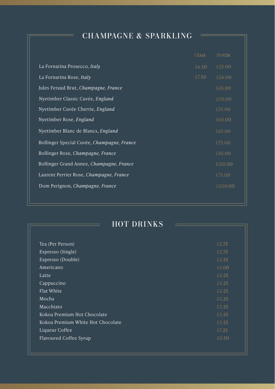#### CHAMPAGNE & SPARKLING

|                                            | Glass | <b>Bottle</b> |
|--------------------------------------------|-------|---------------|
| La Fornarina Prosecco, Italy               | £6.50 | £25.00        |
| La Fornarina Rose, Italy                   | £7.50 | £26.00        |
| Jules Feraud Brut, Champagne, France       |       | £45.00        |
| Nyetimber Classic Cuvée, England           |       | £50.00        |
| Nyetimber Cuvée Cherrie, England           |       | £55.00        |
| Nyetimber Rose, England                    |       | £60.00        |
| Nyetimber Blanc de Blancs, England         |       | £65.00        |
| Bollinger Special Cuvée, Champagne, France |       | £75.00        |
| Bollinger Rose, Champagne, France          |       | £85.00        |
| Bollinger Grand Annee, Champagne, France   |       | £150.00       |
| Laurent Perrier Rose, Champagne, France    |       | £75.00        |
| Dom Perignon, Champagne, France            |       | £200.00       |

#### HOT DRINKS

| Tea (Per Person)                  | £2.75 |
|-----------------------------------|-------|
| Espresso (Single)                 | £2.75 |
| Espresso (Double)                 | £3.25 |
| Americano                         | £3.00 |
| Latte                             | £3.25 |
| Cappuccino                        | £3.25 |
| Flat White                        | £3.25 |
| Mocha                             | £3.25 |
| Macchiato                         | £3.25 |
| Kokoa Premium Hot Chocolate       | £3.25 |
| Kokoa Premium White Hot Chocolate | £3.25 |
| Liqueur Coffee                    | £7.25 |
| Flavoured Coffee Syrup            | £0.50 |
|                                   |       |